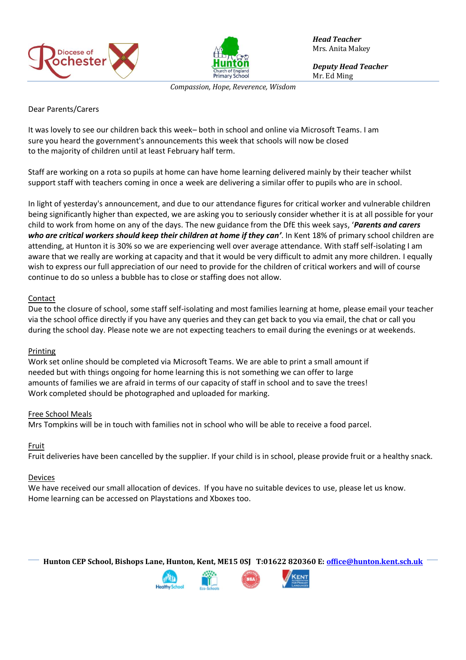



*Head Teacher* Mrs. Anita Makey

*Deputy Head Teacher* Mr. Ed Ming

*Compassion, Hope, Reverence, Wisdom*

## Dear Parents/Carers

It was lovely to see our children back this week– both in school and online via Microsoft Teams. I am sure you heard the government's announcements this week that schools will now be closed to the majority of children until at least February half term.

Staff are working on a rota so pupils at home can have home learning delivered mainly by their teacher whilst support staff with teachers coming in once a week are delivering a similar offer to pupils who are in school.

In light of yesterday's announcement, and due to our attendance figures for critical worker and vulnerable children being significantly higher than expected, we are asking you to seriously consider whether it is at all possible for your child to work from home on any of the days. The new guidance from the DfE this week says, '*Parents and carers who are critical workers should keep their children at home if they can'*. In Kent 18% of primary school children are attending, at Hunton it is 30% so we are experiencing well over average attendance. With staff self-isolating I am aware that we really are working at capacity and that it would be very difficult to admit any more children. I equally wish to express our full appreciation of our need to provide for the children of critical workers and will of course continue to do so unless a bubble has to close or staffing does not allow.

# **Contact**

Due to the closure of school, some staff self-isolating and most families learning at home, please email your teacher via the school office directly if you have any queries and they can get back to you via email, the chat or call you during the school day. Please note we are not expecting teachers to email during the evenings or at weekends.

#### Printing

Work set online should be completed via Microsoft Teams. We are able to print a small amount if needed but with things ongoing for home learning this is not something we can offer to large amounts of families we are afraid in terms of our capacity of staff in school and to save the trees! Work completed should be photographed and uploaded for marking.

#### Free School Meals

Mrs Tompkins will be in touch with families not in school who will be able to receive a food parcel.

# Fruit

Fruit deliveries have been cancelled by the supplier. If your child is in school, please provide fruit or a healthy snack.

#### Devices

We have received our small allocation of devices. If you have no suitable devices to use, please let us know. Home learning can be accessed on Playstations and Xboxes too.

**Hunton CEP School, Bishops Lane, Hunton, Kent, ME15 0SJ T:01622 820360 E[: office@hunton.kent.sch.uk](mailto:office@hunton.kent.sch.uk)**